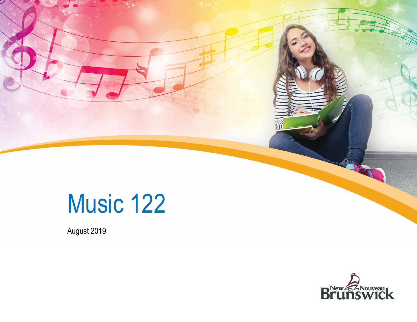

August 2019

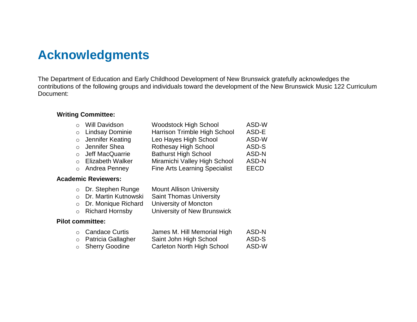# **Acknowledgments**

The Department of Education and Early Childhood Development of New Brunswick gratefully acknowledges the contributions of the following groups and individuals toward the development of the New Brunswick Music 122 Curriculum Document:

### **Writing Committee:**

| o Will Davidson    | <b>Woodstock High School</b>         | ASD-W |
|--------------------|--------------------------------------|-------|
| o Lindsay Dominie  | Harrison Trimble High School         | ASD-E |
| o Jennifer Keating | Leo Hayes High School                | ASD-W |
| o Jennifer Shea    | Rothesay High School                 | ASD-S |
| o Jeff MacQuarrie  | <b>Bathurst High School</b>          | ASD-N |
| o Elizabeth Walker | Miramichi Valley High School         | ASD-N |
| o Andrea Penney    | <b>Fine Arts Learning Specialist</b> | EECD  |

### **Academic Reviewers:**

| ○ Dr. Stephen Runge    | <b>Mount Allison University</b> |
|------------------------|---------------------------------|
| ○ Dr. Martin Kutnowski | <b>Saint Thomas University</b>  |
| o Dr. Monique Richard  | University of Moncton           |
| o Richard Hornsby      | University of New Brunswick     |
|                        |                                 |

### **Pilot committee:**

| ○ Candace Curtis     | James M. Hill Memorial High | ASD-N |
|----------------------|-----------------------------|-------|
| o Patricia Gallagher | Saint John High School      | ASD-S |
| ○ Sherry Goodine     | Carleton North High School  | ASD-W |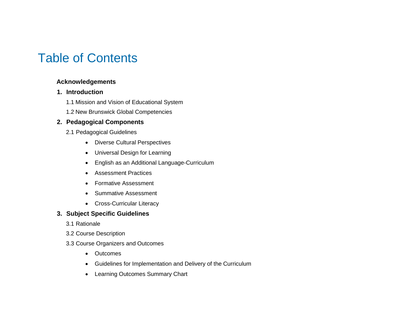# Table of Contents

## **Acknowledgements**

## **1. Introduction**

- 1.1 Mission and Vision of Educational System
- 1.2 New Brunswick Global Competencies

## **2. Pedagogical Components**

- 2.1 Pedagogical Guidelines
	- Diverse Cultural Perspectives
	- Universal Design for Learning
	- English as an Additional Language-Curriculum
	- Assessment Practices
	- Formative Assessment
	- Summative Assessment
	- Cross-Curricular Literacy

## **3. Subject Specific Guidelines**

- 3.1 Rationale
- 3.2 Course Description
- 3.3 Course Organizers and Outcomes
	- Outcomes
	- Guidelines for Implementation and Delivery of the Curriculum
	- Learning Outcomes Summary Chart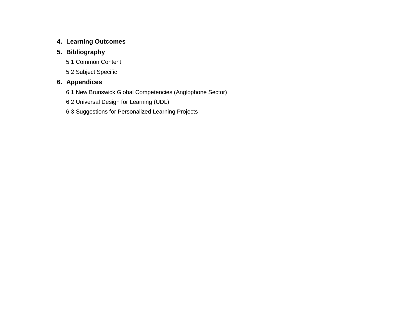### **4. Learning Outcomes**

## **5. Bibliography**

- 5.1 Common Content
- 5.2 Subject Specific

## **6. Appendices**

- 6.1 New Brunswick Global Competencies (Anglophone Sector)
- 6.2 Universal Design for Learning (UDL)
- 6.3 Suggestions for Personalized Learning Projects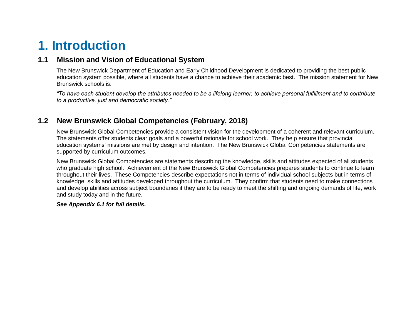# **1. Introduction**

# **1.1 Mission and Vision of Educational System**

The New Brunswick Department of Education and Early Childhood Development is dedicated to providing the best public education system possible, where all students have a chance to achieve their academic best. The mission statement for New Brunswick schools is:

*"To have each student develop the attributes needed to be a lifelong learner, to achieve personal fulfillment and to contribute to a productive, just and democratic society."*

## **1.2 New Brunswick Global Competencies (February, 2018)**

New Brunswick Global Competencies provide a consistent vision for the development of a coherent and relevant curriculum. The statements offer students clear goals and a powerful rationale for school work. They help ensure that provincial education systems' missions are met by design and intention. The New Brunswick Global Competencies statements are supported by curriculum outcomes.

New Brunswick Global Competencies are statements describing the knowledge, skills and attitudes expected of all students who graduate high school. Achievement of the New Brunswick Global Competencies prepares students to continue to learn throughout their lives. These Competencies describe expectations not in terms of individual school subjects but in terms of knowledge, skills and attitudes developed throughout the curriculum. They confirm that students need to make connections and develop abilities across subject boundaries if they are to be ready to meet the shifting and ongoing demands of life, work and study today and in the future.

#### *See Appendix 6.1 for full details***.**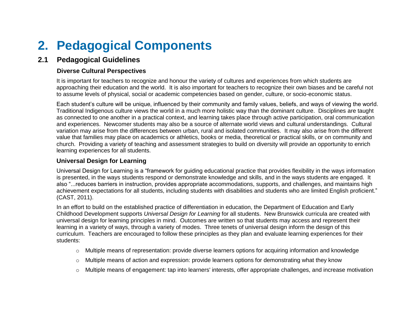# **2. Pedagogical Components**

# **2.1 Pedagogical Guidelines**

### **Diverse Cultural Perspectives**

It is important for teachers to recognize and honour the variety of cultures and experiences from which students are approaching their education and the world. It is also important for teachers to recognize their own biases and be careful not to assume levels of physical, social or academic competencies based on gender, culture, or socio-economic status.

Each student's culture will be unique, influenced by their community and family values, beliefs, and ways of viewing the world. Traditional Indigenous culture views the world in a much more holistic way than the dominant culture. Disciplines are taught as connected to one another in a practical context, and learning takes place through active participation, oral communication and experiences. Newcomer students may also be a source of alternate world views and cultural understandings. Cultural variation may arise from the differences between urban, rural and isolated communities. It may also arise from the different value that families may place on academics or athletics, books or media, theoretical or practical skills, or on community and church. Providing a variety of teaching and assessment strategies to build on diversity will provide an opportunity to enrich learning experiences for all students.

### **Universal Design for Learning**

Universal Design for Learning is a "framework for guiding educational practice that provides flexibility in the ways information is presented, in the ways students respond or demonstrate knowledge and skills, and in the ways students are engaged. It also "...reduces barriers in instruction, provides appropriate accommodations, supports, and challenges, and maintains high achievement expectations for all students, including students with disabilities and students who are limited English proficient." (CAST, 2011).

In an effort to build on the established practice of differentiation in education, the Department of Education and Early Childhood Development supports *Universal Design for Learning* for all students. New Brunswick curricula are created with universal design for learning principles in mind. Outcomes are written so that students may access and represent their learning in a variety of ways, through a variety of modes. Three tenets of universal design inform the design of this curriculum. Teachers are encouraged to follow these principles as they plan and evaluate learning experiences for their students:

- o Multiple means of representation: provide diverse learners options for acquiring information and knowledge
- $\circ$  Multiple means of action and expression: provide learners options for demonstrating what they know
- o Multiple means of engagement: tap into learners' interests, offer appropriate challenges, and increase motivation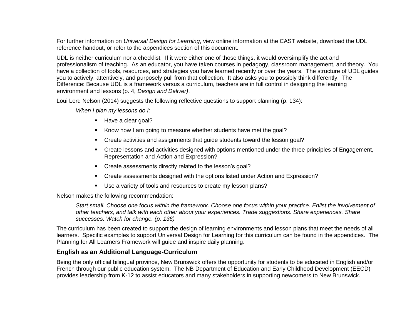For further information on *Universal Design for Learning*, view online information at [the C](http://www.cast.org/)AST website, download the [UDL](https://portal.nbed.nb.ca/pd/Reading/UDL_PD/UDL%20Docs/October%20PD%20Day/Oct%2010%20Intro/Oct10_Intro%20output/story_content/external_files/Quick_Reference.pdf)  [reference handout,](https://portal.nbed.nb.ca/pd/Reading/UDL_PD/UDL%20Docs/October%20PD%20Day/Oct%2010%20Intro/Oct10_Intro%20output/story_content/external_files/Quick_Reference.pdf) or refer to the appendices section of this document.

UDL is neither curriculum nor a checklist. If it were either one of those things, it would oversimplify the act and professionalism of teaching. As an educator, you have taken courses in pedagogy, classroom management, and theory. You have a collection of tools, resources, and strategies you have learned recently or over the years. The structure of UDL guides you to actively, attentively, and purposely pull from that collection. It also asks you to possibly think differently. The Difference: Because UDL is a framework versus a curriculum, teachers are in full control in designing the learning environment and lessons (p. 4, *Design and Deliver)*.

Loui Lord Nelson (2014) suggests the following reflective questions to support planning (p. 134):

*When I plan my lessons do I:*

- Have a clear goal?
- Know how I am going to measure whether students have met the goal?
- Create activities and assignments that guide students toward the lesson goal?
- Create lessons and activities designed with options mentioned under the three principles of Engagement, Representation and Action and Expression?
- Create assessments directly related to the lesson's goal?
- Create assessments designed with the options listed under Action and Expression?
- Use a variety of tools and resources to create my lesson plans?

Nelson makes the following recommendation:

*Start small. Choose one focus within the framework. Choose one focus within your practice. Enlist the involvement of other teachers, and talk with each other about your experiences. Trade suggestions. Share experiences. Share successes. Watch for change. (p. 136)*

The curriculum has been created to support the design of learning environments and lesson plans that meet the needs of all learners. Specific examples to support Universal Design for Learning for this curriculum can be found in the appendices. The Planning for All Learners Framework will guide and inspire daily planning.

### **English as an Additional Language-Curriculum**

Being the only official bilingual province, New Brunswick offers the opportunity for students to be educated in English and/or French through our public education system. The NB Department of Education and Early Childhood Development (EECD) provides leadership from K-12 to assist educators and many stakeholders in supporting newcomers to New Brunswick.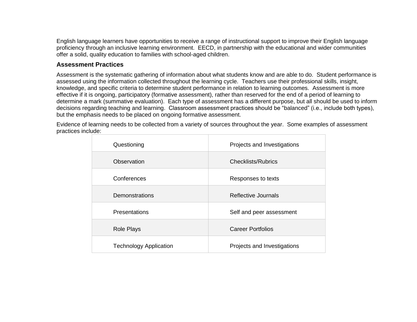English language learners have opportunities to receive a range of instructional support to improve their English language proficiency through an inclusive learning environment. EECD, in partnership with the educational and wider communities offer a solid, quality education to families with school-aged children.

### **Assessment Practices**

Assessment is the systematic gathering of information about what students know and are able to do. Student performance is assessed using the information collected throughout the learning cycle. Teachers use their professional skills, insight, knowledge, and specific criteria to determine student performance in relation to learning outcomes. Assessment is more effective if it is ongoing, participatory (formative assessment), rather than reserved for the end of a period of learning to determine a mark (summative evaluation). Each type of assessment has a different purpose, but all should be used to inform decisions regarding teaching and learning. Classroom assessment practices should be ["balanced"](https://portal.nbed.nb.ca/tr/AaE/Documents/FINAL%20Balanced%20Assessment%20Doc%20April%208%202014.pdf) (i.e., include both types), but the emphasis needs to be placed on ongoing formative assessment.

Evidence of learning needs to be collected from a variety of sources throughout the year. Some examples of assessment practices include:

| Questioning                   | Projects and Investigations |
|-------------------------------|-----------------------------|
| Observation                   | Checklists/Rubrics          |
| Conferences                   | Responses to texts          |
| Demonstrations                | Reflective Journals         |
| <b>Presentations</b>          | Self and peer assessment    |
| <b>Role Plays</b>             | <b>Career Portfolios</b>    |
| <b>Technology Application</b> | Projects and Investigations |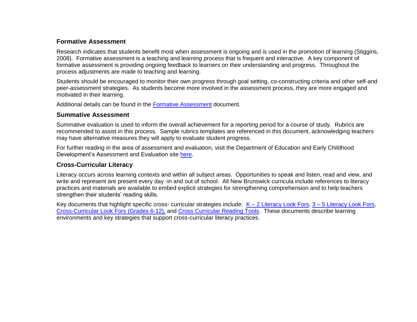### **Formative Assessment**

Research indicates that students benefit most when assessment is ongoing and is used in the promotion of learning (Stiggins, 2008). Formative assessment is a teaching and learning process that is frequent and interactive. A key component of formative assessment is providing ongoing feedback to learners on their understanding and progress. Throughout the process adjustments are made to teaching and learning.

Students should be encouraged to monitor their own progress through goal setting, co-constructing criteria and other self-and peer-assessment strategies. As students become more involved in the assessment process, they are more engaged and motivated in their learning.

Additional details can be found in the [Formative Assessment](https://collabe.nbed.nb.ca/res/sa/gr/gendocs/Formative%20Assessment%20Quick%20Reference.pdf) document.

### **Summative Assessment**

Summative evaluation is used to inform the overall achievement for a reporting period for a course of study. Rubrics are recommended to assist in this process. Sample rubrics templates are referenced in this document, acknowledging teachers may have alternative measures they will apply to evaluate student progress.

For further reading in the area of assessment and evaluation, visit the Department of Education and Early Childhood Development's Assessment and Evaluation site [here.](https://collabe.nbed.nb.ca/res/Pages/Instructional-Planning-and-Assessment.aspx)

### **Cross-Curricular Literacy**

Literacy occurs across learning contexts and within all subject areas. Opportunities to speak and listen, read and view, and write and represent are present every day -in and out of school. All New Brunswick curricula include references to literacy practices and materials are available to embed explicit strategies for strengthening comprehension and to help teachers strengthen their students' reading skills.

Key documents that highlight specific cross- curricular strategies include:  $K - 2$  Literacy Look Fors,  $3 - 5$  Literacy Look Fors, [Cross-Curricular Look Fors \(Grades 6-12\),](https://collabe.nbed.nb.ca/res/sa/gr/gendocs/Cross-Curricular%20Look%20Fors%20Grades%206-12.pdf) and [Cross Curricular Reading Tools.](https://portal.nbed.nb.ca/tr/lr/Curriculum%20Support%20Resources/Cross-Curricular%20Reading%20Tools.pdf) These documents describe learning environments and key strategies that support cross-curricular literacy practices.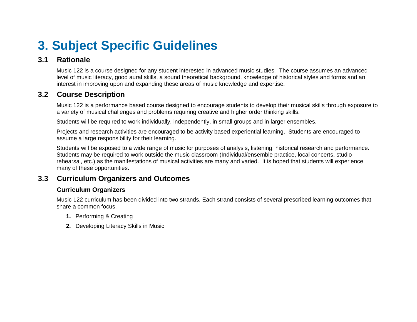# **3. Subject Specific Guidelines**

# **3.1 Rationale**

Music 122 is a course designed for any student interested in advanced music studies. The course assumes an advanced level of music literacy, good aural skills, a sound theoretical background, knowledge of historical styles and forms and an interest in improving upon and expanding these areas of music knowledge and expertise.

# **3.2 Course Description**

Music 122 is a performance based course designed to encourage students to develop their musical skills through exposure to a variety of musical challenges and problems requiring creative and higher order thinking skills.

Students will be required to work individually, independently, in small groups and in larger ensembles.

Projects and research activities are encouraged to be activity based experiential learning. Students are encouraged to assume a large responsibility for their learning.

Students will be exposed to a wide range of music for purposes of analysis, listening, historical research and performance. Students may be required to work outside the music classroom (Individual/ensemble practice, local concerts, studio rehearsal, etc.) as the manifestations of musical activities are many and varied. It is hoped that students will experience many of these opportunities.

# **3.3 Curriculum Organizers and Outcomes**

### **Curriculum Organizers**

Music 122 curriculum has been divided into two strands. Each strand consists of several prescribed learning outcomes that share a common focus.

- **1.** Performing & Creating
- **2.** Developing Literacy Skills in Music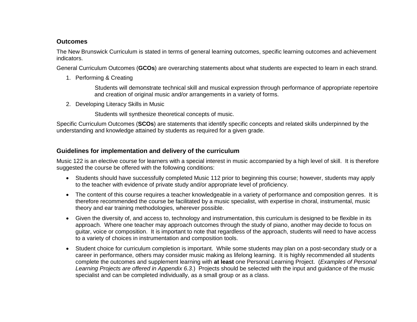### **Outcomes**

The New Brunswick Curriculum is stated in terms of general learning outcomes, specific learning outcomes and achievement indicators.

General Curriculum Outcomes (**GCOs**) are overarching statements about what students are expected to learn in each strand.

1. Performing & Creating

Students will demonstrate technical skill and musical expression through performance of appropriate repertoire and creation of original music and/or arrangements in a variety of forms.

2. Developing Literacy Skills in Music

Students will synthesize theoretical concepts of music.

Specific Curriculum Outcomes (**SCOs**) are statements that identify specific concepts and related skills underpinned by the understanding and knowledge attained by students as required for a given grade.

### **Guidelines for implementation and delivery of the curriculum**

Music 122 is an elective course for learners with a special interest in music accompanied by a high level of skill. It is therefore suggested the course be offered with the following conditions:

- Students should have successfully completed Music 112 prior to beginning this course; however, students may apply to the teacher with evidence of private study and/or appropriate level of proficiency.
- The content of this course requires a teacher knowledgeable in a variety of performance and composition genres. It is therefore recommended the course be facilitated by a music specialist, with expertise in choral, instrumental, music theory and ear training methodologies, wherever possible.
- Given the diversity of, and access to, technology and instrumentation, this curriculum is designed to be flexible in its approach. Where one teacher may approach outcomes through the study of piano, another may decide to focus on guitar, voice or composition. It is important to note that regardless of the approach, students will need to have access to a variety of choices in instrumentation and composition tools.
- Student choice for curriculum completion is important. While some students may plan on a post-secondary study or a career in performance, others may consider music making as lifelong learning. It is highly recommended all students complete the outcomes and supplement learning with **at least** one Personal Learning Project. (*Examples of Personal Learning Projects are offered in Appendix 6.3*.) Projects should be selected with the input and guidance of the music specialist and can be completed individually, as a small group or as a class.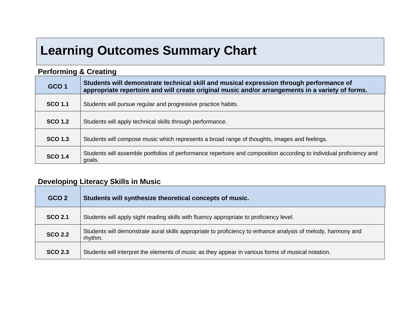# **Learning Outcomes Summary Chart**

# **Performing & Creating**

| Students will demonstrate technical skill and musical expression through performance of<br>GCO <sub>1</sub><br>appropriate repertoire and will create original music and/or arrangements in a variety of forms. |                                                                                                                               |  |
|-----------------------------------------------------------------------------------------------------------------------------------------------------------------------------------------------------------------|-------------------------------------------------------------------------------------------------------------------------------|--|
| <b>SCO 1.1</b>                                                                                                                                                                                                  | Students will pursue regular and progressive practice habits.                                                                 |  |
| <b>SCO 1.2</b>                                                                                                                                                                                                  | Students will apply technical skills through performance.                                                                     |  |
| <b>SCO 1.3</b>                                                                                                                                                                                                  | Students will compose music which represents a broad range of thoughts, images and feelings.                                  |  |
| <b>SCO 1.4</b>                                                                                                                                                                                                  | Students will assemble portfolios of performance repertoire and composition according to individual proficiency and<br>goals. |  |

# **Developing Literacy Skills in Music**

| GCO <sub>2</sub> | Students will synthesize theoretical concepts of music.                                                                 |  |
|------------------|-------------------------------------------------------------------------------------------------------------------------|--|
| <b>SCO 2.1</b>   | Students will apply sight reading skills with fluency appropriate to proficiency level.                                 |  |
| <b>SCO 2.2</b>   | Students will demonstrate aural skills appropriate to proficiency to enhance analysis of melody, harmony and<br>rhythm. |  |
| <b>SCO 2.3</b>   | Students will interpret the elements of music as they appear in various forms of musical notation.                      |  |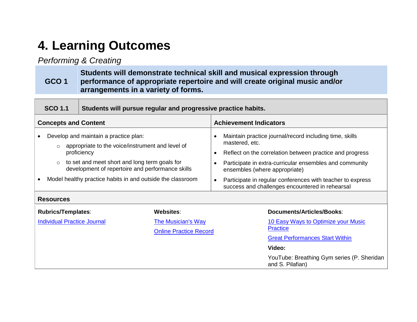# **4. Learning Outcomes**

# *Performing & Creating*

#### **GCO 1 Students will demonstrate technical skill and musical expression through performance of appropriate repertoire and will create original music and/or arrangements in a variety of forms.**

|                                                                                                                                                                                                                                                                                                 | <b>SCO 1.1</b>                     | Students will pursue regular and progressive practice habits. |                                                            |                                                                                                                                                                                                                                                                                                                                                                 |  |
|-------------------------------------------------------------------------------------------------------------------------------------------------------------------------------------------------------------------------------------------------------------------------------------------------|------------------------------------|---------------------------------------------------------------|------------------------------------------------------------|-----------------------------------------------------------------------------------------------------------------------------------------------------------------------------------------------------------------------------------------------------------------------------------------------------------------------------------------------------------------|--|
|                                                                                                                                                                                                                                                                                                 | <b>Concepts and Content</b>        |                                                               |                                                            | <b>Achievement Indicators</b>                                                                                                                                                                                                                                                                                                                                   |  |
| Develop and maintain a practice plan:<br>appropriate to the voice/instrument and level of<br>proficiency<br>to set and meet short and long term goals for<br>development of repertoire and performance skills<br>Model healthy practice habits in and outside the classroom<br><b>Resources</b> |                                    |                                                               |                                                            | Maintain practice journal/record including time, skills<br>mastered, etc.<br>Reflect on the correlation between practice and progress<br>$\bullet$<br>Participate in extra-curricular ensembles and community<br>ensembles (where appropriate)<br>Participate in regular conferences with teacher to express<br>success and challenges encountered in rehearsal |  |
|                                                                                                                                                                                                                                                                                                 | <b>Rubrics/Templates:</b>          |                                                               | Websites:                                                  | Documents/Articles/Books:                                                                                                                                                                                                                                                                                                                                       |  |
|                                                                                                                                                                                                                                                                                                 | <b>Individual Practice Journal</b> |                                                               | <b>The Musician's Way</b><br><b>Online Practice Record</b> | 10 Easy Ways to Optimize your Music<br><b>Practice</b><br><b>Great Performances Start Within</b><br>Video:                                                                                                                                                                                                                                                      |  |
|                                                                                                                                                                                                                                                                                                 |                                    |                                                               |                                                            | YouTube: Breathing Gym series (P. Sheridan<br>and S. Pilafian)                                                                                                                                                                                                                                                                                                  |  |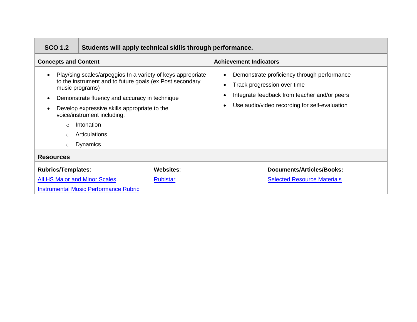| <b>SCO 1.2</b>                                 |                                                                                                                                                                                                                                                                                                           | Students will apply technical skills through performance. |                                                                                                                                                                             |  |  |
|------------------------------------------------|-----------------------------------------------------------------------------------------------------------------------------------------------------------------------------------------------------------------------------------------------------------------------------------------------------------|-----------------------------------------------------------|-----------------------------------------------------------------------------------------------------------------------------------------------------------------------------|--|--|
| <b>Concepts and Content</b>                    |                                                                                                                                                                                                                                                                                                           |                                                           | <b>Achievement Indicators</b>                                                                                                                                               |  |  |
| music programs)<br>$\cap$<br>$\cap$<br>$\circ$ | Play/sing scales/arpeggios In a variety of keys appropriate<br>to the instrument and to future goals (ex Post secondary<br>Demonstrate fluency and accuracy in technique<br>Develop expressive skills appropriate to the<br>voice/instrument including:<br>Intonation<br>Articulations<br><b>Dynamics</b> |                                                           | Demonstrate proficiency through performance<br>Track progression over time<br>Integrate feedback from teacher and/or peers<br>Use audio/video recording for self-evaluation |  |  |
| <b>Resources</b>                               |                                                                                                                                                                                                                                                                                                           |                                                           |                                                                                                                                                                             |  |  |
| Websites:<br><b>Rubrics/Templates:</b>         |                                                                                                                                                                                                                                                                                                           |                                                           | <b>Documents/Articles/Books:</b>                                                                                                                                            |  |  |
| <b>All HS Major and Minor Scales</b>           |                                                                                                                                                                                                                                                                                                           | <b>Rubistar</b>                                           | <b>Selected Resource Materials</b>                                                                                                                                          |  |  |
| <b>Instrumental Music Performance Rubric</b>   |                                                                                                                                                                                                                                                                                                           |                                                           |                                                                                                                                                                             |  |  |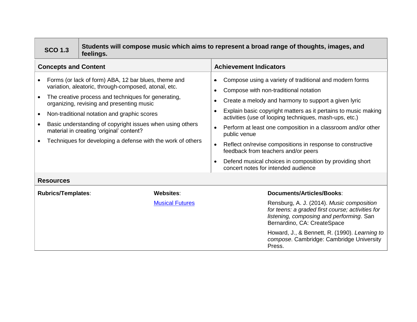|                                                                                                                                                                                                                                                                                                                                                                                                                                                                                | Students will compose music which aims to represent a broad range of thoughts, images, and<br><b>SCO 1.3</b><br>feelings. |                        |                                                                                                                                                                                                                                                                                                                                                                                                                                                                                                                                                                              |  |
|--------------------------------------------------------------------------------------------------------------------------------------------------------------------------------------------------------------------------------------------------------------------------------------------------------------------------------------------------------------------------------------------------------------------------------------------------------------------------------|---------------------------------------------------------------------------------------------------------------------------|------------------------|------------------------------------------------------------------------------------------------------------------------------------------------------------------------------------------------------------------------------------------------------------------------------------------------------------------------------------------------------------------------------------------------------------------------------------------------------------------------------------------------------------------------------------------------------------------------------|--|
|                                                                                                                                                                                                                                                                                                                                                                                                                                                                                | <b>Concepts and Content</b>                                                                                               |                        | <b>Achievement Indicators</b>                                                                                                                                                                                                                                                                                                                                                                                                                                                                                                                                                |  |
| Forms (or lack of form) ABA, 12 bar blues, theme and<br>variation, aleatoric, through-composed, atonal, etc.<br>The creative process and techniques for generating,<br>$\bullet$<br>organizing, revising and presenting music<br>Non-traditional notation and graphic scores<br>$\bullet$<br>Basic understanding of copyright issues when using others<br>$\bullet$<br>material in creating 'original' content?<br>Techniques for developing a defense with the work of others |                                                                                                                           |                        | Compose using a variety of traditional and modern forms<br>Compose with non-traditional notation<br>Create a melody and harmony to support a given lyric<br>Explain basic copyright matters as it pertains to music making<br>activities (use of looping techniques, mash-ups, etc.)<br>Perform at least one composition in a classroom and/or other<br>public venue<br>Reflect on/revise compositions in response to constructive<br>feedback from teachers and/or peers<br>Defend musical choices in composition by providing short<br>concert notes for intended audience |  |
|                                                                                                                                                                                                                                                                                                                                                                                                                                                                                | <b>Resources</b>                                                                                                          |                        |                                                                                                                                                                                                                                                                                                                                                                                                                                                                                                                                                                              |  |
|                                                                                                                                                                                                                                                                                                                                                                                                                                                                                | <b>Rubrics/Templates:</b>                                                                                                 | Websites:              | <b>Documents/Articles/Books:</b>                                                                                                                                                                                                                                                                                                                                                                                                                                                                                                                                             |  |
|                                                                                                                                                                                                                                                                                                                                                                                                                                                                                |                                                                                                                           | <b>Musical Futures</b> | Rensburg, A. J. (2014). Music composition<br>for teens: a graded first course; activities for<br>listening, composing and performing. San<br>Bernardino, CA: CreateSpace                                                                                                                                                                                                                                                                                                                                                                                                     |  |
|                                                                                                                                                                                                                                                                                                                                                                                                                                                                                |                                                                                                                           |                        | Howard, J., & Bennett, R. (1990). Learning to<br>compose. Cambridge: Cambridge University<br>Press.                                                                                                                                                                                                                                                                                                                                                                                                                                                                          |  |

T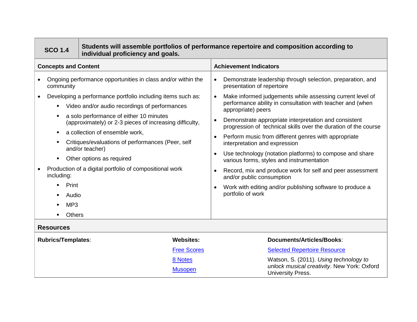|                                               | Students will assemble portfolios of performance repertoire and composition according to<br><b>SCO 1.4</b><br>individual proficiency and goals. |                                                                                                                                                                                                                                                                                                                                                                                                                                                                                      |                           |                                                                                                                                                                                                                                                                                                                                                                                                                                                                                                                                                                                                                                                                                                                                                                                                                                   |  |
|-----------------------------------------------|-------------------------------------------------------------------------------------------------------------------------------------------------|--------------------------------------------------------------------------------------------------------------------------------------------------------------------------------------------------------------------------------------------------------------------------------------------------------------------------------------------------------------------------------------------------------------------------------------------------------------------------------------|---------------------------|-----------------------------------------------------------------------------------------------------------------------------------------------------------------------------------------------------------------------------------------------------------------------------------------------------------------------------------------------------------------------------------------------------------------------------------------------------------------------------------------------------------------------------------------------------------------------------------------------------------------------------------------------------------------------------------------------------------------------------------------------------------------------------------------------------------------------------------|--|
|                                               | <b>Concepts and Content</b>                                                                                                                     |                                                                                                                                                                                                                                                                                                                                                                                                                                                                                      |                           | <b>Achievement Indicators</b>                                                                                                                                                                                                                                                                                                                                                                                                                                                                                                                                                                                                                                                                                                                                                                                                     |  |
|                                               | community<br>$\blacksquare$<br>including:<br>Print<br>Audio<br>MP <sub>3</sub><br>Others<br><b>Resources</b>                                    | Ongoing performance opportunities in class and/or within the<br>Developing a performance portfolio including items such as:<br>Video and/or audio recordings of performances<br>a solo performance of either 10 minutes<br>(approximately) or 2-3 pieces of increasing difficulty,<br>a collection of ensemble work,<br>Critiques/evaluations of performances (Peer, self<br>and/or teacher)<br>Other options as required<br>Production of a digital portfolio of compositional work |                           | Demonstrate leadership through selection, preparation, and<br>$\bullet$<br>presentation of repertoire<br>Make informed judgements while assessing current level of<br>$\bullet$<br>performance ability in consultation with teacher and (when<br>appropriate) peers<br>Demonstrate appropriate interpretation and consistent<br>$\bullet$<br>progression of technical skills over the duration of the course<br>Perform music from different genres with appropriate<br>$\bullet$<br>interpretation and expression<br>Use technology (notation platforms) to compose and share<br>$\bullet$<br>various forms, styles and instrumentation<br>Record, mix and produce work for self and peer assessment<br>$\bullet$<br>and/or public consumption<br>Work with editing and/or publishing software to produce a<br>portfolio of work |  |
| <b>Rubrics/Templates:</b><br><b>Websites:</b> |                                                                                                                                                 |                                                                                                                                                                                                                                                                                                                                                                                                                                                                                      | Documents/Articles/Books: |                                                                                                                                                                                                                                                                                                                                                                                                                                                                                                                                                                                                                                                                                                                                                                                                                                   |  |
|                                               |                                                                                                                                                 |                                                                                                                                                                                                                                                                                                                                                                                                                                                                                      | <b>Free Scores</b>        | <b>Selected Repertoire Resource</b>                                                                                                                                                                                                                                                                                                                                                                                                                                                                                                                                                                                                                                                                                                                                                                                               |  |
|                                               |                                                                                                                                                 |                                                                                                                                                                                                                                                                                                                                                                                                                                                                                      | 8 Notes                   | Watson, S. (2011). Using technology to                                                                                                                                                                                                                                                                                                                                                                                                                                                                                                                                                                                                                                                                                                                                                                                            |  |
|                                               |                                                                                                                                                 |                                                                                                                                                                                                                                                                                                                                                                                                                                                                                      | <b>Musopen</b>            | unlock musical creativity. New York: Oxford<br>University Press.                                                                                                                                                                                                                                                                                                                                                                                                                                                                                                                                                                                                                                                                                                                                                                  |  |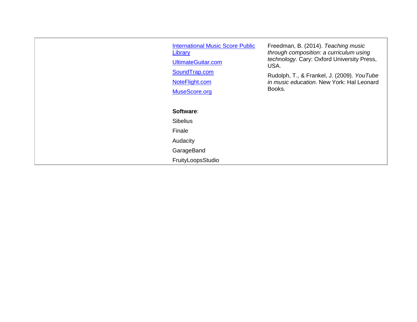| <b>International Music Score Public</b><br>Library<br>UltimateGuitar.com<br>SoundTrap.com<br>NoteFlight.com<br>MuseScore.org | Freedman, B. (2014). Teaching music<br>through composition: a curriculum using<br>technology. Cary: Oxford University Press,<br>USA.<br>Rudolph, T., & Frankel, J. (2009). YouTube<br>in music education. New York: Hal Leonard<br>Books. |
|------------------------------------------------------------------------------------------------------------------------------|-------------------------------------------------------------------------------------------------------------------------------------------------------------------------------------------------------------------------------------------|
| Software:                                                                                                                    |                                                                                                                                                                                                                                           |
| <b>Sibelius</b>                                                                                                              |                                                                                                                                                                                                                                           |
| Finale                                                                                                                       |                                                                                                                                                                                                                                           |
| Audacity                                                                                                                     |                                                                                                                                                                                                                                           |
| GarageBand                                                                                                                   |                                                                                                                                                                                                                                           |
| FruityLoopsStudio                                                                                                            |                                                                                                                                                                                                                                           |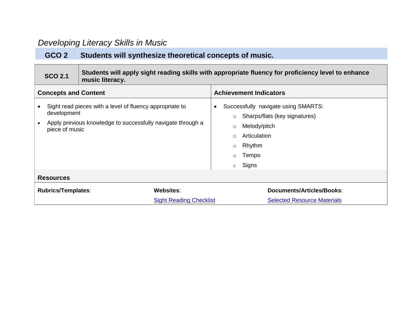# *Developing Literacy Skills in Music*

# **GCO 2 Students will synthesize theoretical concepts of music.**

| <b>SCO 2.1</b>                                    | music literacy.                                                                                                         | Students will apply sight reading skills with appropriate fluency for proficiency level to enhance                                                                                                 |
|---------------------------------------------------|-------------------------------------------------------------------------------------------------------------------------|----------------------------------------------------------------------------------------------------------------------------------------------------------------------------------------------------|
| <b>Concepts and Content</b>                       |                                                                                                                         | <b>Achievement Indicators</b>                                                                                                                                                                      |
| development<br>piece of music<br><b>Resources</b> | Sight read pieces with a level of fluency appropriate to<br>Apply previous knowledge to successfully navigate through a | Successfully navigate using SMARTS:<br>Sharps/flats (key signatures)<br>$\circ$<br>Melody/pitch<br>$\circ$<br>Articulation<br>$\circ$<br>Rhythm<br>$\circ$<br>Tempo<br>$\circ$<br>Signs<br>$\circ$ |
| <b>Rubrics/Templates:</b>                         | <b>Websites:</b>                                                                                                        | Documents/Articles/Books:                                                                                                                                                                          |
|                                                   | <b>Sight Reading Checklist</b>                                                                                          | <b>Selected Resource Materials</b>                                                                                                                                                                 |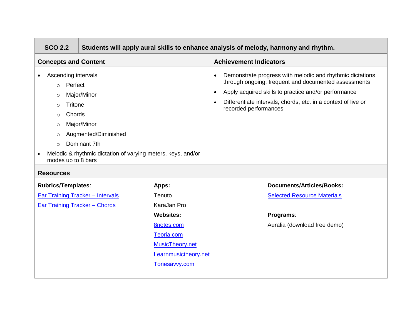| <b>SCO 2.2</b>                                                                                                                                                                                                                                                                                                                | Students will apply aural skills to enhance analysis of melody, harmony and rhythm. |                      |                                                                                                                                                                                                                                                                                  |  |
|-------------------------------------------------------------------------------------------------------------------------------------------------------------------------------------------------------------------------------------------------------------------------------------------------------------------------------|-------------------------------------------------------------------------------------|----------------------|----------------------------------------------------------------------------------------------------------------------------------------------------------------------------------------------------------------------------------------------------------------------------------|--|
| <b>Concepts and Content</b>                                                                                                                                                                                                                                                                                                   |                                                                                     |                      | <b>Achievement Indicators</b>                                                                                                                                                                                                                                                    |  |
| Ascending intervals<br>$\bullet$<br>Perfect<br>$\circ$<br>Major/Minor<br>$\circ$<br>Tritone<br>$\circ$<br>Chords<br>$\circ$<br>Major/Minor<br>$\circ$<br>Augmented/Diminished<br>$\circ$<br>Dominant 7th<br>$\circ$<br>Melodic & rhythmic dictation of varying meters, keys, and/or<br>modes up to 8 bars<br><b>Resources</b> |                                                                                     |                      | Demonstrate progress with melodic and rhythmic dictations<br>through ongoing, frequent and documented assessments<br>Apply acquired skills to practice and/or performance<br>$\bullet$<br>Differentiate intervals, chords, etc. in a context of live or<br>recorded performances |  |
| <b>Rubrics/Templates:</b>                                                                                                                                                                                                                                                                                                     |                                                                                     | Apps:                | <b>Documents/Articles/Books:</b>                                                                                                                                                                                                                                                 |  |
| <b>Ear Training Tracker - Intervals</b>                                                                                                                                                                                                                                                                                       |                                                                                     | Tenuto               | <b>Selected Resource Materials</b>                                                                                                                                                                                                                                               |  |
| <b>Ear Training Tracker - Chords</b>                                                                                                                                                                                                                                                                                          |                                                                                     | KaraJan Pro          |                                                                                                                                                                                                                                                                                  |  |
|                                                                                                                                                                                                                                                                                                                               |                                                                                     | <b>Websites:</b>     | Programs:                                                                                                                                                                                                                                                                        |  |
|                                                                                                                                                                                                                                                                                                                               |                                                                                     | <b>8notes.com</b>    | Auralia (download free demo)                                                                                                                                                                                                                                                     |  |
|                                                                                                                                                                                                                                                                                                                               |                                                                                     | Teoria.com           |                                                                                                                                                                                                                                                                                  |  |
|                                                                                                                                                                                                                                                                                                                               |                                                                                     | MusicTheory.net      |                                                                                                                                                                                                                                                                                  |  |
|                                                                                                                                                                                                                                                                                                                               |                                                                                     | Learnmusictheory.net |                                                                                                                                                                                                                                                                                  |  |
|                                                                                                                                                                                                                                                                                                                               |                                                                                     | Tonesavvy.com        |                                                                                                                                                                                                                                                                                  |  |
|                                                                                                                                                                                                                                                                                                                               |                                                                                     |                      |                                                                                                                                                                                                                                                                                  |  |

 $\overline{1}$ 

and the control of the con-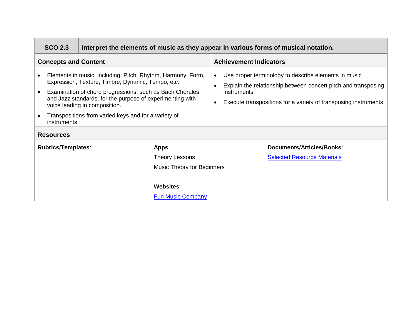| <b>SCO 2.3</b>                                                                                                                                                                                                                                                                                                                                                        | Interpret the elements of music as they appear in various forms of musical notation. |                            |                                                                                                                                                                                                                                                 |  |
|-----------------------------------------------------------------------------------------------------------------------------------------------------------------------------------------------------------------------------------------------------------------------------------------------------------------------------------------------------------------------|--------------------------------------------------------------------------------------|----------------------------|-------------------------------------------------------------------------------------------------------------------------------------------------------------------------------------------------------------------------------------------------|--|
| <b>Concepts and Content</b>                                                                                                                                                                                                                                                                                                                                           |                                                                                      |                            | <b>Achievement Indicators</b>                                                                                                                                                                                                                   |  |
| Elements in music, including: Pitch, Rhythm, Harmony, Form,<br>Expression, Texture, Timbre, Dynamic, Tempo, etc.<br>Examination of chord progressions, such as Bach Chorales<br>and Jazz standards, for the purpose of experimenting with<br>voice leading in composition.<br>Transpositions from varied keys and for a variety of<br>instruments<br><b>Resources</b> |                                                                                      |                            | Use proper terminology to describe elements in music<br>$\bullet$<br>Explain the relationship between concert pitch and transposing<br>$\bullet$<br>instruments<br>Execute transpositions for a variety of transposing instruments<br>$\bullet$ |  |
| <b>Rubrics/Templates:</b>                                                                                                                                                                                                                                                                                                                                             |                                                                                      | Apps:                      | Documents/Articles/Books:                                                                                                                                                                                                                       |  |
|                                                                                                                                                                                                                                                                                                                                                                       |                                                                                      | <b>Theory Lessons</b>      | <b>Selected Resource Materials</b>                                                                                                                                                                                                              |  |
|                                                                                                                                                                                                                                                                                                                                                                       |                                                                                      | Music Theory for Beginners |                                                                                                                                                                                                                                                 |  |
|                                                                                                                                                                                                                                                                                                                                                                       |                                                                                      |                            |                                                                                                                                                                                                                                                 |  |
| <b>Websites:</b>                                                                                                                                                                                                                                                                                                                                                      |                                                                                      |                            |                                                                                                                                                                                                                                                 |  |
| <b>Fun Music Company</b>                                                                                                                                                                                                                                                                                                                                              |                                                                                      |                            |                                                                                                                                                                                                                                                 |  |

┓

 $\overline{a}$ 

the control of the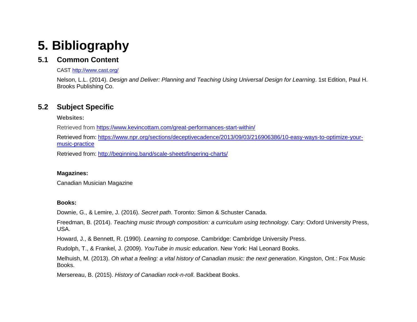# **5. Bibliography**

# **5.1 Common Content**

CAST<http://www.cast.org/>

Nelson, L.L. (2014). *Design and Deliver: Planning and Teaching Using Universal Design for Learning*. 1st Edition, Paul H. Brooks Publishing Co.

# **5.2 Subject Specific**

**Websites:**

Retrieved from<https://www.kevincottam.com/great-performances-start-within/>

Retrieved from: [https://www.npr.org/sections/deceptivecadence/2013/09/03/216906386/10-easy-ways-to-optimize-your](https://www.npr.org/sections/deceptivecadence/2013/09/03/216906386/10-easy-ways-to-optimize-your-music-practice)[music-practice](https://www.npr.org/sections/deceptivecadence/2013/09/03/216906386/10-easy-ways-to-optimize-your-music-practice)

Retrieved from:<http://beginning.band/scale-sheetsfingering-charts/>

### **Magazines:**

Canadian Musician Magazine

### **Books:**

Downie, G., & Lemire, J. (2016). *Secret path*. Toronto: Simon & Schuster Canada.

Freedman, B. (2014). *Teaching music through composition: a curriculum using technology*. Cary: Oxford University Press, USA.

Howard, J., & Bennett, R. (1990). *Learning to compose*. Cambridge: Cambridge University Press.

Rudolph, T., & Frankel, J. (2009). *YouTube in music education*. New York: Hal Leonard Books.

Melhuish, M. (2013). *Oh what a feeling: a vital history of Canadian music: the next generation*. Kingston, Ont.: Fox Music Books.

Mersereau, B. (2015). *History of Canadian rock-n-roll*. Backbeat Books.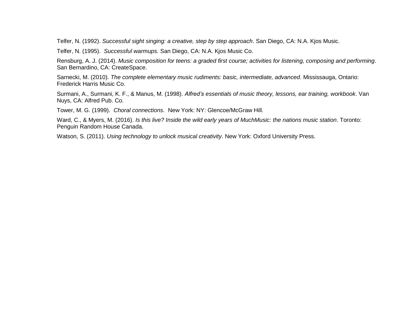Telfer, N. (1992). *Successful sight singing: a creative, step by step approach*. San Diego, CA: N.A. Kjos Music.

Telfer, N. (1995). *Successful warmups.* San Diego, CA: N.A. Kjos Music Co.

Rensburg, A. J. (2014). *Music composition for teens: a graded first course; activities for listening, composing and performing*. San Bernardino, CA: CreateSpace.

Sarnecki, M. (2010). *The complete elementary music rudiments: basic, intermediate, advanced*. Mississauga, Ontario: Frederick Harris Music Co.

Surmani, A., Surmani, K. F., & Manus, M. (1998). *Alfred's essentials of music theory, lessons, ear training, workbook*. Van Nuys, CA: Alfred Pub. Co.

Tower, M. G. (1999). *Choral connections.* New York: NY: Glencoe/McGraw Hill.

Ward, C., & Myers, M. (2016). *Is this live? Inside the wild early years of MuchMusic: the nations music station*. Toronto: Penguin Random House Canada.

Watson, S. (2011). *Using technology to unlock musical creativity*. New York: Oxford University Press.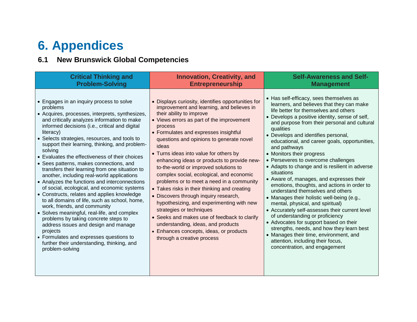# **6. Appendices**

# **6.1 New Brunswick Global Competencies**

| <b>Critical Thinking and</b>                                                                                                                                                                                                                                                                                                                                                                                                                                                                                                                                                                                                                                                                                                                                                                                                                                                                                                                                                                                            | <b>Innovation, Creativity, and</b>                                                                                                                                                                                                                                                                                                                                                                                                                                                                                                                                                                                                                                                                                                                                                                                                            | <b>Self-Awareness and Self-</b>                                                                                                                                                                                                                                                                                                                                                                                                                                                                                                                                                                                                                                                                                                                                                                                                                                                                                                                                                                       |
|-------------------------------------------------------------------------------------------------------------------------------------------------------------------------------------------------------------------------------------------------------------------------------------------------------------------------------------------------------------------------------------------------------------------------------------------------------------------------------------------------------------------------------------------------------------------------------------------------------------------------------------------------------------------------------------------------------------------------------------------------------------------------------------------------------------------------------------------------------------------------------------------------------------------------------------------------------------------------------------------------------------------------|-----------------------------------------------------------------------------------------------------------------------------------------------------------------------------------------------------------------------------------------------------------------------------------------------------------------------------------------------------------------------------------------------------------------------------------------------------------------------------------------------------------------------------------------------------------------------------------------------------------------------------------------------------------------------------------------------------------------------------------------------------------------------------------------------------------------------------------------------|-------------------------------------------------------------------------------------------------------------------------------------------------------------------------------------------------------------------------------------------------------------------------------------------------------------------------------------------------------------------------------------------------------------------------------------------------------------------------------------------------------------------------------------------------------------------------------------------------------------------------------------------------------------------------------------------------------------------------------------------------------------------------------------------------------------------------------------------------------------------------------------------------------------------------------------------------------------------------------------------------------|
| <b>Problem-Solving</b>                                                                                                                                                                                                                                                                                                                                                                                                                                                                                                                                                                                                                                                                                                                                                                                                                                                                                                                                                                                                  | <b>Entrepreneurship</b>                                                                                                                                                                                                                                                                                                                                                                                                                                                                                                                                                                                                                                                                                                                                                                                                                       | <b>Management</b>                                                                                                                                                                                                                                                                                                                                                                                                                                                                                                                                                                                                                                                                                                                                                                                                                                                                                                                                                                                     |
| • Engages in an inquiry process to solve<br>problems<br>• Acquires, processes, interprets, synthesizes,<br>and critically analyzes information to make<br>informed decisions (i.e., critical and digital<br>literacy)<br>• Selects strategies, resources, and tools to<br>support their learning, thinking, and problem-<br>solving<br>• Evaluates the effectiveness of their choices<br>• Sees patterns, makes connections, and<br>transfers their learning from one situation to<br>another, including real-world applications<br>• Analyzes the functions and interconnections<br>of social, ecological, and economic systems<br>• Constructs, relates and applies knowledge<br>to all domains of life, such as school, home,<br>work, friends, and community<br>• Solves meaningful, real-life, and complex<br>problems by taking concrete steps to<br>address issues and design and manage<br>projects<br>• Formulates and expresses questions to<br>further their understanding, thinking, and<br>problem-solving | • Displays curiosity, identifies opportunities for<br>improvement and learning, and believes in<br>their ability to improve<br>• Views errors as part of the improvement<br>process<br>• Formulates and expresses insightful<br>questions and opinions to generate novel<br>ideas<br>• Turns ideas into value for others by<br>enhancing ideas or products to provide new-<br>to-the-world or improved solutions to<br>complex social, ecological, and economic<br>problems or to meet a need in a community<br>• Takes risks in their thinking and creating<br>• Discovers through inquiry research,<br>hypothesizing, and experimenting with new<br>strategies or techniques<br>• Seeks and makes use of feedback to clarify<br>understanding, ideas, and products<br>• Enhances concepts, ideas, or products<br>through a creative process | • Has self-efficacy, sees themselves as<br>learners, and believes that they can make<br>life better for themselves and others<br>• Develops a positive identity, sense of self,<br>and purpose from their personal and cultural<br>qualities<br>• Develops and identifies personal,<br>educational, and career goals, opportunities,<br>and pathways<br>• Monitors their progress<br>• Perseveres to overcome challenges<br>• Adapts to change and is resilient in adverse<br>situations<br>• Aware of, manages, and expresses their<br>emotions, thoughts, and actions in order to<br>understand themselves and others<br>• Manages their holistic well-being (e.g.,<br>mental, physical, and spiritual)<br>• Accurately self-assesses their current level<br>of understanding or proficiency<br>• Advocates for support based on their<br>strengths, needs, and how they learn best<br>• Manages their time, environment, and<br>attention, including their focus,<br>concentration, and engagement |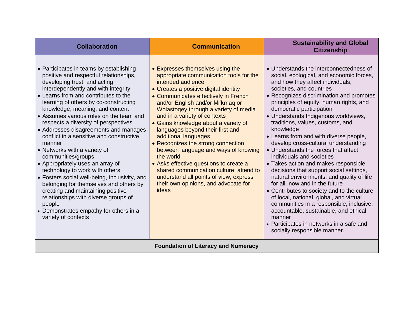| <b>Collaboration</b>                                                                                                                                                                                                                                                                                                                                                                                                                                                                                                                                                                                                                                                                                                                                                                                                                          | <b>Communication</b>                                                                                                                                                                                                                                                                                                                                                                                                                                                                                                                                                                                                                                                          | <b>Sustainability and Global</b><br><b>Citizenship</b>                                                                                                                                                                                                                                                                                                                                                                                                                                                                                                                                                                                                                                                                                                                                                                                                                                                                                                        |  |
|-----------------------------------------------------------------------------------------------------------------------------------------------------------------------------------------------------------------------------------------------------------------------------------------------------------------------------------------------------------------------------------------------------------------------------------------------------------------------------------------------------------------------------------------------------------------------------------------------------------------------------------------------------------------------------------------------------------------------------------------------------------------------------------------------------------------------------------------------|-------------------------------------------------------------------------------------------------------------------------------------------------------------------------------------------------------------------------------------------------------------------------------------------------------------------------------------------------------------------------------------------------------------------------------------------------------------------------------------------------------------------------------------------------------------------------------------------------------------------------------------------------------------------------------|---------------------------------------------------------------------------------------------------------------------------------------------------------------------------------------------------------------------------------------------------------------------------------------------------------------------------------------------------------------------------------------------------------------------------------------------------------------------------------------------------------------------------------------------------------------------------------------------------------------------------------------------------------------------------------------------------------------------------------------------------------------------------------------------------------------------------------------------------------------------------------------------------------------------------------------------------------------|--|
| • Participates in teams by establishing<br>positive and respectful relationships,<br>developing trust, and acting<br>interdependently and with integrity<br>• Learns from and contributes to the<br>learning of others by co-constructing<br>knowledge, meaning, and content<br>• Assumes various roles on the team and<br>respects a diversity of perspectives<br>• Addresses disagreements and manages<br>conflict in a sensitive and constructive<br>manner<br>• Networks with a variety of<br>communities/groups<br>• Appropriately uses an array of<br>technology to work with others<br>• Fosters social well-being, inclusivity, and<br>belonging for themselves and others by<br>creating and maintaining positive<br>relationships with diverse groups of<br>people<br>• Demonstrates empathy for others in a<br>variety of contexts | • Expresses themselves using the<br>appropriate communication tools for the<br>intended audience<br>• Creates a positive digital identity<br>• Communicates effectively in French<br>and/or English and/or Mi'kmag or<br>Wolastogey through a variety of media<br>and in a variety of contexts<br>• Gains knowledge about a variety of<br>languages beyond their first and<br>additional languages<br>• Recognizes the strong connection<br>between language and ways of knowing<br>the world<br>• Asks effective questions to create a<br>shared communication culture, attend to<br>understand all points of view, express<br>their own opinions, and advocate for<br>ideas | • Understands the interconnectedness of<br>social, ecological, and economic forces,<br>and how they affect individuals,<br>societies, and countries<br>• Recognizes discrimination and promotes<br>principles of equity, human rights, and<br>democratic participation<br>• Understands Indigenous worldviews,<br>traditions, values, customs, and<br>knowledge<br>• Learns from and with diverse people,<br>develop cross-cultural understanding<br>• Understands the forces that affect<br>individuals and societies<br>• Takes action and makes responsible<br>decisions that support social settings,<br>natural environments, and quality of life<br>for all, now and in the future<br>• Contributes to society and to the culture<br>of local, national, global, and virtual<br>communities in a responsible, inclusive,<br>accountable, sustainable, and ethical<br>manner<br>• Participates in networks in a safe and<br>socially responsible manner. |  |
| <b>Foundation of Literacy and Numeracy</b>                                                                                                                                                                                                                                                                                                                                                                                                                                                                                                                                                                                                                                                                                                                                                                                                    |                                                                                                                                                                                                                                                                                                                                                                                                                                                                                                                                                                                                                                                                               |                                                                                                                                                                                                                                                                                                                                                                                                                                                                                                                                                                                                                                                                                                                                                                                                                                                                                                                                                               |  |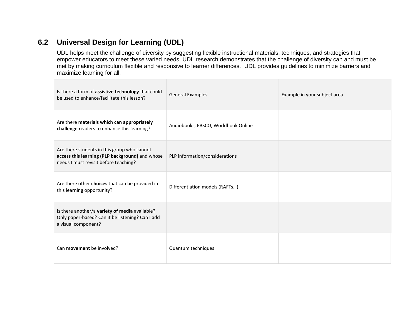# **6.2 Universal Design for Learning (UDL)**

UDL helps meet the challenge of diversity by suggesting flexible instructional materials, techniques, and strategies that empower educators to meet these varied needs. UDL research demonstrates that the challenge of diversity can and must be met by making curriculum flexible and responsive to learner differences. UDL provides guidelines to minimize barriers and maximize learning for all.

| Is there a form of assistive technology that could<br>be used to enhance/facilitate this lesson?                                        | <b>General Examples</b>             | Example in your subject area |
|-----------------------------------------------------------------------------------------------------------------------------------------|-------------------------------------|------------------------------|
| Are there materials which can appropriately<br>challenge readers to enhance this learning?                                              | Audiobooks, EBSCO, Worldbook Online |                              |
| Are there students in this group who cannot<br>access this learning (PLP background) and whose<br>needs I must revisit before teaching? | PLP information/considerations      |                              |
| Are there other choices that can be provided in<br>this learning opportunity?                                                           | Differentiation models (RAFTs)      |                              |
| Is there another/a variety of media available?<br>Only paper-based? Can it be listening? Can I add<br>a visual component?               |                                     |                              |
| Can <b>movement</b> be involved?                                                                                                        | Quantum techniques                  |                              |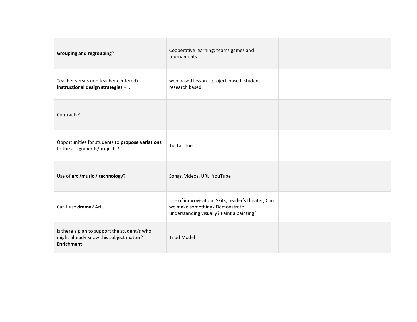| <b>Grouping and regrouping?</b>                                                                              | Cooperative learning; teams games and<br>tournaments                                                                              |  |
|--------------------------------------------------------------------------------------------------------------|-----------------------------------------------------------------------------------------------------------------------------------|--|
| Teacher versus non teacher centered?<br>Instructional design strategies -                                    | web based lesson project-based, student<br>research based                                                                         |  |
| Contracts?                                                                                                   |                                                                                                                                   |  |
| Opportunities for students to propose variations<br>to the assignments/projects?                             | Tic Tac Toe                                                                                                                       |  |
| Use of art /music / technology?                                                                              | Songs, Videos, URL, YouTube                                                                                                       |  |
| Can I use drama? Art                                                                                         | Use of improvisation; Skits; reader's theater; Can<br>we make something? Demonstrate<br>understanding visually? Paint a painting? |  |
| Is there a plan to support the student/s who<br>might already know this subject matter?<br><b>Enrichment</b> | <b>Triad Model</b>                                                                                                                |  |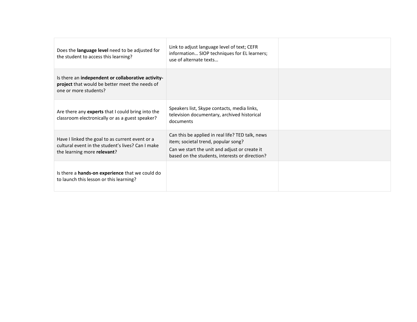| Does the language level need to be adjusted for<br>the student to access this learning?                                             | Link to adjust language level of text; CEFR<br>information SIOP techniques for EL learners;<br>use of alternate texts                                                                      |  |
|-------------------------------------------------------------------------------------------------------------------------------------|--------------------------------------------------------------------------------------------------------------------------------------------------------------------------------------------|--|
| Is there an independent or collaborative activity-<br>project that would be better meet the needs of<br>one or more students?       |                                                                                                                                                                                            |  |
| Are there any experts that I could bring into the<br>classroom electronically or as a guest speaker?                                | Speakers list, Skype contacts, media links,<br>television documentary, archived historical<br>documents                                                                                    |  |
| Have I linked the goal to as current event or a<br>cultural event in the student's lives? Can I make<br>the learning more relevant? | Can this be applied in real life? TED talk, news<br>item; societal trend, popular song?<br>Can we start the unit and adjust or create it<br>based on the students, interests or direction? |  |
| Is there a hands-on experience that we could do<br>to launch this lesson or this learning?                                          |                                                                                                                                                                                            |  |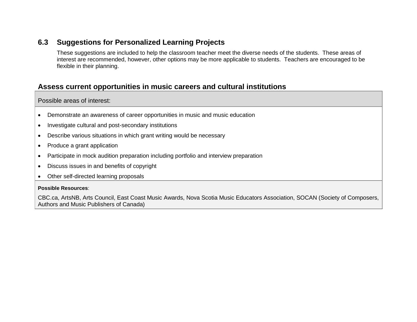# **6.3 Suggestions for Personalized Learning Projects**

These suggestions are included to help the classroom teacher meet the diverse needs of the students. These areas of interest are recommended, however, other options may be more applicable to students. Teachers are encouraged to be flexible in their planning.

# **Assess current opportunities in music careers and cultural institutions**

Possible areas of interest:

- Demonstrate an awareness of career opportunities in music and music education
- Investigate cultural and post-secondary institutions
- Describe various situations in which grant writing would be necessary
- Produce a grant application
- Participate in mock audition preparation including portfolio and interview preparation
- Discuss issues in and benefits of copyright
- Other self-directed learning proposals

### **Possible Resources**:

CBC.ca, ArtsNB, Arts Council, East Coast Music Awards, Nova Scotia Music Educators Association, SOCAN (Society of Composers, Authors and Music Publishers of Canada)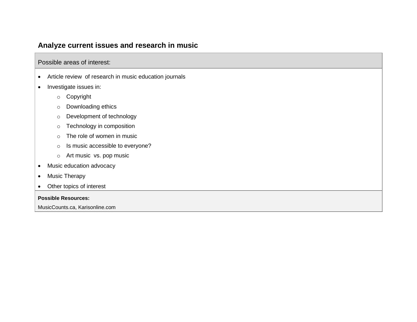# **Analyze current issues and research in music**

Possible areas of interest:

- Article review of research in music education journals
- Investigate issues in:
	- o Copyright
	- o Downloading ethics
	- o Development of technology
	- o Technology in composition
	- o The role of women in music
	- o Is music accessible to everyone?
	- o Art music vs. pop music
- Music education advocacy
- Music Therapy
- Other topics of interest

### **Possible Resources:**

MusicCounts.ca, Karisonline.com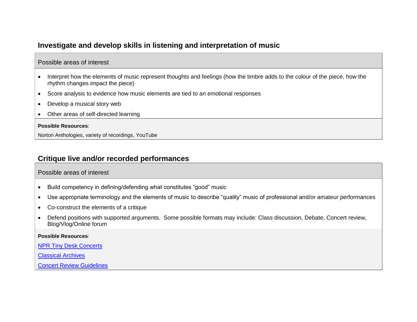# **Investigate and develop skills in listening and interpretation of music**

### Possible areas of interest

- Interpret how the elements of music represent thoughts and feelings (how the timbre adds to the colour of the piece, how the rhythm changes impact the piece)
- Score analysis to evidence how music elements are tied to an emotional responses
- Develop a musical story web
- Other areas of self-directed learning

#### **Possible Resources**:

Norton Anthologies, variety of recordings, YouTube

## **Critique live and/or recorded performances**

### Possible areas of interest

- Build competency in defining/defending what constitutes "good" music
- Use appropriate terminology and the elements of music to describe "quality" music of professional and/or amateur performances
- Co-construct the elements of a critique
- Defend positions with supported arguments. Some possible formats may include: Class discussion, Debate, Concert review, Blog/Vlog/Online forum

#### **Possible Resources**:

[NPR Tiny Desk Concerts](http://www.npr.org/series/tiny-desk-concerts/)

[Classical Archives](file:///F:/EECD/Music%20122%20Edits/Drafts/Classicalarchives.com)

[Concert Review Guidelines](https://collabe.nbed.nb.ca/sites/FineArts/Music/_layouts/15/WopiFrame.aspx?sourcedoc=/sites/FineArts/Music/Shared%20Documents/Supporting%20Resources/Concert%20Review%20Guidelines.docx&action=default)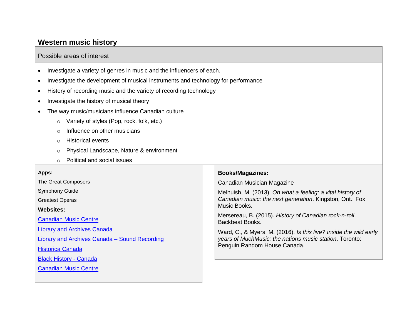## **Western music history**

### Possible areas of interest

- Investigate a variety of genres in music and the influencers of each.
- Investigate the development of musical instruments and technology for performance
- History of recording music and the variety of recording technology
- Investigate the history of musical theory
- The way music/musicians influence Canadian culture
	- o Variety of styles (Pop, rock, folk, etc.)
	- $\circ$  Influence on other musicians
	- o Historical events
	- o Physical Landscape, Nature & environment
	- o Political and social issues

#### **Apps:**

The Great Composers

Symphony Guide

Greatest Operas

**Websites:**

[Canadian Music Centre](http://musiccentre.ca/)

[Library and Archives Canada](http://www.bac-lac.gc.ca/eng/Pages/home.aspx)

[Library and Archives Canada –](http://www.bac-lac.gc.ca/eng/discover/films-videos-sound-recordings/virtual-gramophone/Pages/history-music-canada.aspx) Sound Recording

[Historica Canada](http://www.thecanadianencyclopedia.ca/en/article/music-history/#top)

[Black History -](http://www.histoiredesnoirsaucanada.com/topic.php?id=161&themeid=8) Canada

[Canadian Music Centre](http://musiccentre.ca/)

### **Books/Magazines:**

Canadian Musician Magazine

Melhuish, M. (2013). *Oh what a feeling: a vital history of Canadian music: the next generation*. Kingston, Ont.: Fox Music Books.

Mersereau, B. (2015). *History of Canadian rock-n-roll*. Backbeat Books.

Ward, C., & Myers, M. (2016). *Is this live? Inside the wild early years of MuchMusic: the nations music station*. Toronto: Penguin Random House Canada.